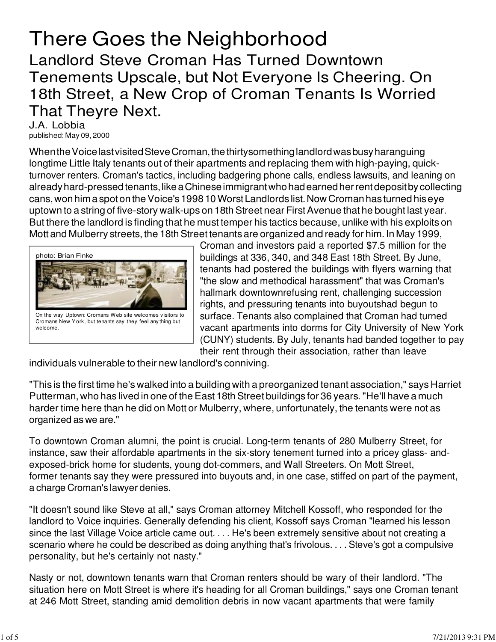## There Goes the Neighborhood

Landlord Steve Croman Has Turned Downtown Tenements Upscale, but Not Everyone Is Cheering. On 18th Street, a New Crop of Croman Tenants Is Worried That Theyre Next.

J.A. Lobbia published: May 09, 2000

When the Voice last visited Steve Croman, the thirtysomething landlord was busy haranguing longtime Little Italy tenants out of their apartments and replacing them with high-paying, quickturnover renters. Croman's tactics, including badgering phone calls, endless lawsuits, and leaning on already hard-pressed tenants, like a Chinese immigrant who had earned her rent deposit by collecting cans, won him a spot on the Voice's 1998 10 Worst Landlords list. Now Croman has turned his eye uptown to a string of five-story walk-ups on 18th Street near First Avenue that he bought last year. But there the landlord is finding that he must temper his tactics because, unlike with his exploits on Mott and Mulberry streets, the 18th Street tenants are organized and ready for him. In May 1999,



Croman and investors paid a reported \$7.5 million for the buildings at 336, 340, and 348 East 18th Street. By June, tenants had postered the buildings with flyers warning that "the slow and methodical harassment" that was Croman's hallmark downtownrefusing rent, challenging succession rights, and pressuring tenants into buyoutshad begun to surface. Tenants also complained that Croman had turned vacant apartments into dorms for City University of New York (CUNY) students. By July, tenants had banded together to pay their rent through their association, rather than leave

individuals vulnerable to their new landlord's conniving.

"This is the first time he's walked into a building with a preorganized tenant association," says Harriet Putterman, who has lived in one of the East 18th Street buildings for 36 years. "He'll have a much harder time here than he did on Mott or Mulberry, where, unfortunately, the tenants were not as organized as we are."

To downtown Croman alumni, the point is crucial. Long-term tenants of 280 Mulberry Street, for instance, saw their affordable apartments in the six-story tenement turned into a pricey glass- andexposed-brick home for students, young dot-commers, and Wall Streeters. On Mott Street, former tenants say they were pressured into buyouts and, in one case, stiffed on part of the payment, a charge Croman's lawyer denies.

"It doesn't sound like Steve at all," says Croman attorney Mitchell Kossoff, who responded for the landlord to Voice inquiries. Generally defending his client, Kossoff says Croman "learned his lesson since the last Village Voice article came out. . . . He's been extremely sensitive about not creating a scenario where he could be described as doing anything that's frivolous. . . . Steve's got a compulsive personality, but he's certainly not nasty."

Nasty or not, downtown tenants warn that Croman renters should be wary of their landlord. "The situation here on Mott Street is where it's heading for all Croman buildings," says one Croman tenant at 246 Mott Street, standing amid demolition debris in now vacant apartments that were family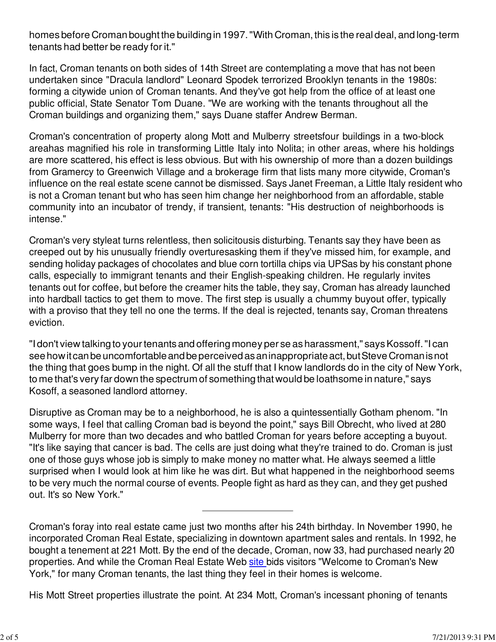homes before Croman bought the building in 1997. "With Croman, this is the real deal, and long-term tenants had better be ready for it."

In fact, Croman tenants on both sides of 14th Street are contemplating a move that has not been undertaken since "Dracula landlord" Leonard Spodek terrorized Brooklyn tenants in the 1980s: forming a citywide union of Croman tenants. And they've got help from the office of at least one public official, State Senator Tom Duane. "We are working with the tenants throughout all the Croman buildings and organizing them," says Duane staffer Andrew Berman.

Croman's concentration of property along Mott and Mulberry streetsfour buildings in a two-block areahas magnified his role in transforming Little Italy into Nolita; in other areas, where his holdings are more scattered, his effect is less obvious. But with his ownership of more than a dozen buildings from Gramercy to Greenwich Village and a brokerage firm that lists many more citywide, Croman's influence on the real estate scene cannot be dismissed. Says Janet Freeman, a Little Italy resident who is not a Croman tenant but who has seen him change her neighborhood from an affordable, stable community into an incubator of trendy, if transient, tenants: "His destruction of neighborhoods is intense."

Croman's very styleat turns relentless, then solicitousis disturbing. Tenants say they have been as creeped out by his unusually friendly overturesasking them if they've missed him, for example, and sending holiday packages of chocolates and blue corn tortilla chips via UPSas by his constant phone calls, especially to immigrant tenants and their English-speaking children. He regularly invites tenants out for coffee, but before the creamer hits the table, they say, Croman has already launched into hardball tactics to get them to move. The first step is usually a chummy buyout offer, typically with a proviso that they tell no one the terms. If the deal is rejected, tenants say, Croman threatens eviction.

"I don't view talking to your tenants and offering money per se as harassment," says Kossoff. "I can see how it can be uncomfortable and be perceived as an inappropriate act, but Steve Croman is not the thing that goes bump in the night. Of all the stuff that I know landlords do in the city of New York, to me that's very far down the spectrum of something that would be loathsome in nature," says Kosoff, a seasoned landlord attorney.

Disruptive as Croman may be to a neighborhood, he is also a quintessentially Gotham phenom. "In some ways, I feel that calling Croman bad is beyond the point," says Bill Obrecht, who lived at 280 Mulberry for more than two decades and who battled Croman for years before accepting a buyout. "It's like saying that cancer is bad. The cells are just doing what they're trained to do. Croman is just one of those guys whose job is simply to make money no matter what. He always seemed a little surprised when I would look at him like he was dirt. But what happened in the neighborhood seems to be very much the normal course of events. People fight as hard as they can, and they get pushed out. It's so New York."

Croman's foray into real estate came just two months after his 24th birthday. In November 1990, he incorporated Croman Real Estate, specializing in downtown apartment sales and rentals. In 1992, he bought a tenement at 221 Mott. By the end of the decade, Croman, now 33, had purchased nearly 20 properties. And while the Croman Real Estate Web site bids visitors "Welcome to Croman's New York," for many Croman tenants, the last thing they feel in their homes is welcome.

His Mott Street properties illustrate the point. At 234 Mott, Croman's incessant phoning of tenants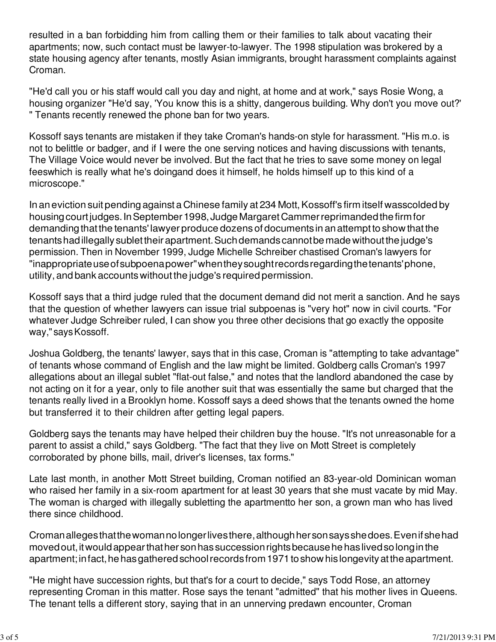resulted in a ban forbidding him from calling them or their families to talk about vacating their apartments; now, such contact must be lawyer-to-lawyer. The 1998 stipulation was brokered by a state housing agency after tenants, mostly Asian immigrants, brought harassment complaints against Croman.

"He'd call you or his staff would call you day and night, at home and at work," says Rosie Wong, a housing organizer "He'd say, 'You know this is a shitty, dangerous building. Why don't you move out?' " Tenants recently renewed the phone ban for two years.

Kossoff says tenants are mistaken if they take Croman's hands-on style for harassment. "His m.o. is not to belittle or badger, and if I were the one serving notices and having discussions with tenants, The Village Voice would never be involved. But the fact that he tries to save some money on legal feeswhich is really what he's doingand does it himself, he holds himself up to this kind of a microscope."

In an eviction suit pending against a Chinese family at 234 Mott, Kossoff's firm itself wasscolded by housing court judges. In September 1998, Judge Margaret Cammer reprimanded the firm for demanding that the tenants' lawyer produce dozens of documents in an attempt to show that the tenants had illegally sublet their apartment. Such demands cannot be made without the judge's permission. Then in November 1999, Judge Michelle Schreiber chastised Croman's lawyers for "inappropriate use of subpoena power" when they sought records regarding the tenants' phone, utility, and bank accounts without the judge's required permission.

Kossoff says that a third judge ruled that the document demand did not merit a sanction. And he says that the question of whether lawyers can issue trial subpoenas is "very hot" now in civil courts. "For whatever Judge Schreiber ruled, I can show you three other decisions that go exactly the opposite way," says Kossoff.

Joshua Goldberg, the tenants' lawyer, says that in this case, Croman is "attempting to take advantage" of tenants whose command of English and the law might be limited. Goldberg calls Croman's 1997 allegations about an illegal sublet "flat-out false," and notes that the landlord abandoned the case by not acting on it for a year, only to file another suit that was essentially the same but charged that the tenants really lived in a Brooklyn home. Kossoff says a deed shows that the tenants owned the home but transferred it to their children after getting legal papers.

Goldberg says the tenants may have helped their children buy the house. "It's not unreasonable for a parent to assist a child," says Goldberg. "The fact that they live on Mott Street is completely corroborated by phone bills, mail, driver's licenses, tax forms."

Late last month, in another Mott Street building, Croman notified an 83-year-old Dominican woman who raised her family in a six-room apartment for at least 30 years that she must vacate by mid May. The woman is charged with illegally subletting the apartmentto her son, a grown man who has lived there since childhood.

Croman alleges that the woman no longer lives there, although her son says she does. Even if she had moved out, it would appear that her son has succession rights because he has lived so long in the apartment; in fact, he has gathered school records from 1971 to show his longevity at the apartment.

"He might have succession rights, but that's for a court to decide," says Todd Rose, an attorney representing Croman in this matter. Rose says the tenant "admitted" that his mother lives in Queens. The tenant tells a different story, saying that in an unnerving predawn encounter, Croman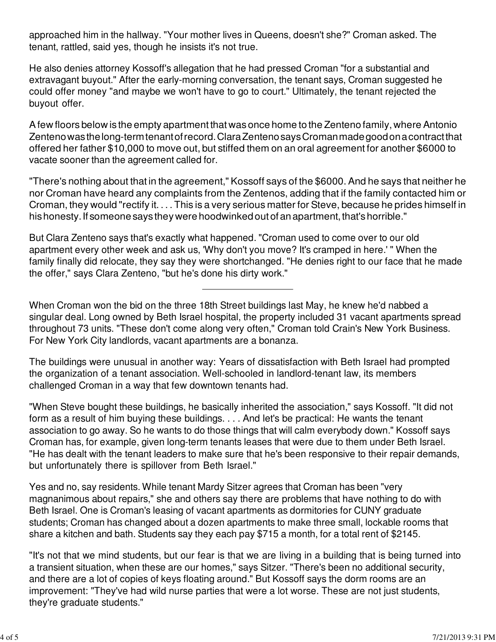approached him in the hallway. "Your mother lives in Queens, doesn't she?" Croman asked. The tenant, rattled, said yes, though he insists it's not true.

He also denies attorney Kossoff's allegation that he had pressed Croman "for a substantial and extravagant buyout." After the early-morning conversation, the tenant says, Croman suggested he could offer money "and maybe we won't have to go to court." Ultimately, the tenant rejected the buyout offer.

A few floors below is the empty apartment that was once home to the Zenteno family, where Antonio Zenteno was the long-term tenant of record. Clara Zenteno says Croman made good on a contract that offered her father \$10,000 to move out, but stiffed them on an oral agreement for another \$6000 to vacate sooner than the agreement called for.

"There's nothing about that in the agreement," Kossoff says of the \$6000. And he says that neither he nor Croman have heard any complaints from the Zentenos, adding that if the family contacted him or Croman, they would "rectify it. . . . This is a very serious matter for Steve, because he prides himself in his honesty. If someone says they were hoodwinked out of an apartment, that's horrible."

But Clara Zenteno says that's exactly what happened. "Croman used to come over to our old apartment every other week and ask us, 'Why don't you move? It's cramped in here.' " When the family finally did relocate, they say they were shortchanged. "He denies right to our face that he made the offer," says Clara Zenteno, "but he's done his dirty work."

When Croman won the bid on the three 18th Street buildings last May, he knew he'd nabbed a singular deal. Long owned by Beth Israel hospital, the property included 31 vacant apartments spread throughout 73 units. "These don't come along very often," Croman told Crain's New York Business. For New York City landlords, vacant apartments are a bonanza.

The buildings were unusual in another way: Years of dissatisfaction with Beth Israel had prompted the organization of a tenant association. Well-schooled in landlord-tenant law, its members challenged Croman in a way that few downtown tenants had.

"When Steve bought these buildings, he basically inherited the association," says Kossoff. "It did not form as a result of him buying these buildings. . . . And let's be practical: He wants the tenant association to go away. So he wants to do those things that will calm everybody down." Kossoff says Croman has, for example, given long-term tenants leases that were due to them under Beth Israel. "He has dealt with the tenant leaders to make sure that he's been responsive to their repair demands, but unfortunately there is spillover from Beth Israel."

Yes and no, say residents. While tenant Mardy Sitzer agrees that Croman has been "very magnanimous about repairs," she and others say there are problems that have nothing to do with Beth Israel. One is Croman's leasing of vacant apartments as dormitories for CUNY graduate students; Croman has changed about a dozen apartments to make three small, lockable rooms that share a kitchen and bath. Students say they each pay \$715 a month, for a total rent of \$2145.

"It's not that we mind students, but our fear is that we are living in a building that is being turned into a transient situation, when these are our homes," says Sitzer. "There's been no additional security, and there are a lot of copies of keys floating around." But Kossoff says the dorm rooms are an improvement: "They've had wild nurse parties that were a lot worse. These are not just students, they're graduate students."